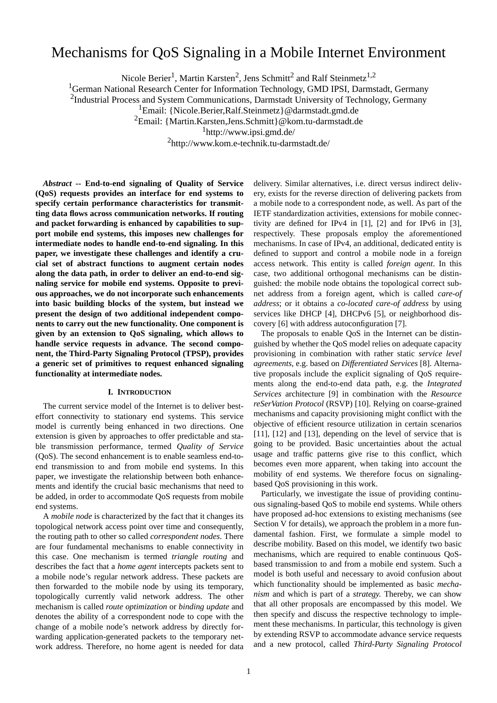# Mechanisms for QoS Signaling in a Mobile Internet Environment

Nicole Berier<sup>1</sup>, Martin Karsten<sup>2</sup>, Jens Schmitt<sup>2</sup> and Ralf Steinmetz<sup>1,2</sup>

<sup>1</sup>German National Research Center for Information Technology, GMD IPSI, Darmstadt, Germany

<sup>2</sup>Industrial Process and System Communications, Darmstadt University of Technology, Germany

<sup>1</sup>Email: {Nicole.Berier,Ralf.Steinmetz}@darmstadt.gmd.de

2 Email: {Martin.Karsten,Jens.Schmitt}@kom.tu-darmstadt.de

 $1$ http://www.ipsi.gmd.de/

2 http://www.kom.e-technik.tu-darmstadt.de/

*Abstract --* **End-to-end signaling of Quality of Service (QoS) requests provides an interface for end systems to specify certain performance characteristics for transmitting data flows across communication networks. If routing and packet forwarding is enhanced by capabilities to support mobile end systems, this imposes new challenges for intermediate nodes to handle end-to-end signaling. In this paper, we investigate these challenges and identify a crucial set of abstract functions to augment certain nodes along the data path, in order to deliver an end-to-end signaling service for mobile end systems. Opposite to previous approaches, we do not incorporate such enhancements into basic building blocks of the system, but instead we present the design of two additional independent components to carry out the new functionality. One component is given by an extension to QoS signaling, which allows to handle service requests in advance. The second component, the Third-Party Signaling Protocol (TPSP), provides a generic set of primitives to request enhanced signaling functionality at intermediate nodes.**

## **I. INTRODUCTION**

The current service model of the Internet is to deliver besteffort connectivity to stationary end systems. This service model is currently being enhanced in two directions. One extension is given by approaches to offer predictable and stable transmission performance, termed *Quality of Service* (QoS). The second enhancement is to enable seamless end-toend transmission to and from mobile end systems. In this paper, we investigate the relationship between both enhancements and identify the crucial basic mechanisms that need to be added, in order to accommodate QoS requests from mobile end systems.

A *mobile node* is characterized by the fact that it changes its topological network access point over time and consequently, the routing path to other so called *correspondent nodes*. There are four fundamental mechanisms to enable connectivity in this case. One mechanism is termed *triangle routing* and describes the fact that a *home agent* intercepts packets sent to a mobile node's regular network address. These packets are then forwarded to the mobile node by using its temporary, topologically currently valid network address. The other mechanism is called *route optimization* or *binding update* and denotes the ability of a correspondent node to cope with the change of a mobile node's network address by directly forwarding application-generated packets to the temporary network address. Therefore, no home agent is needed for data

delivery. Similar alternatives, i.e. direct versus indirect delivery, exists for the reverse direction of delivering packets from a mobile node to a correspondent node, as well. As part of the IETF standardization activities, extensions for mobile connectivity are defined for IPv4 in [1], [2] and for IPv6 in [3], respectively. These proposals employ the aforementioned mechanisms. In case of IPv4, an additional, dedicated entity is defined to support and control a mobile node in a foreign access network. This entity is called *foreign agent*. In this case, two additional orthogonal mechanisms can be distinguished: the mobile node obtains the topological correct subnet address from a foreign agent, which is called *care-of address*; or it obtains a *co-located care-of address* by using services like DHCP [4], DHCPv6 [5], or neighborhood discovery [6] with address autoconfiguration [7].

The proposals to enable QoS in the Internet can be distinguished by whether the QoS model relies on adequate capacity provisioning in combination with rather static *service level agreements*, e.g. based on *Differentiated Services* [8]. Alternative proposals include the explicit signaling of QoS requirements along the end-to-end data path, e.g. the *Integrated Services* architecture [9] in combination with the *Resource reSerVation Protocol* (RSVP) [10]. Relying on coarse-grained mechanisms and capacity provisioning might conflict with the objective of efficient resource utilization in certain scenarios [11], [12] and [13], depending on the level of service that is going to be provided. Basic uncertainties about the actual usage and traffic patterns give rise to this conflict, which becomes even more apparent, when taking into account the mobility of end systems. We therefore focus on signalingbased QoS provisioning in this work.

Particularly, we investigate the issue of providing continuous signaling-based QoS to mobile end systems. While others have proposed ad-hoc extensions to existing mechanisms (see [Section V](#page-4-0) for details), we approach the problem in a more fundamental fashion. First, we formulate a simple model to describe mobility. Based on this model, we identify two basic mechanisms, which are required to enable continuous QoSbased transmission to and from a mobile end system. Such a model is both useful and necessary to avoid confusion about which functionality should be implemented as basic *mechanism* and which is part of a *strategy*. Thereby, we can show that all other proposals are encompassed by this model. We then specify and discuss the respective technology to implement these mechanisms. In particular, this technology is given by extending RSVP to accommodate advance service requests and a new protocol, called *Third-Party Signaling Protocol*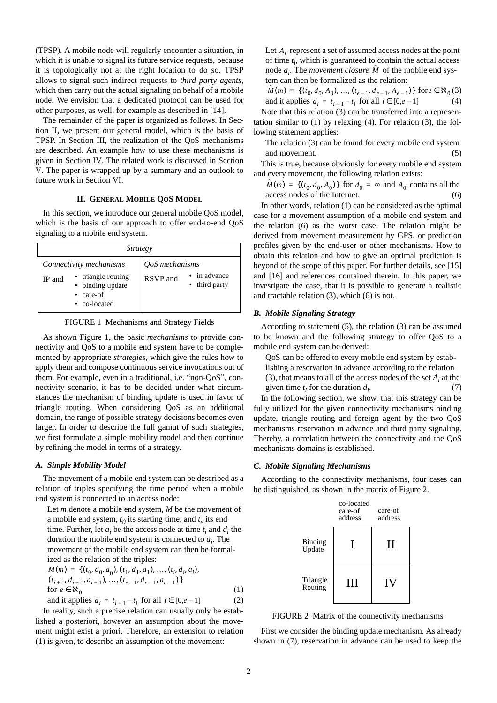<span id="page-1-0"></span>(TPSP). A mobile node will regularly encounter a situation, in which it is unable to signal its future service requests, because it is topologically not at the right location to do so. TPSP allows to signal such indirect requests to *third party agents*, which then carry out the actual signaling on behalf of a mobile node. We envision that a dedicated protocol can be used for other purposes, as well, for example as described in [14].

The remainder of the paper is organized as follows. In Section II, we present our general model, which is the basis of TPSP. In [Section III,](#page-3-0) the realization of the QoS mechanisms are described. An example how to use these mechanisms is given in [Section IV.](#page-3-0) The related work is discussed in [Section](#page-4-0) [V.](#page-4-0) The paper is wrapped up by a summary and an outlook to future work in S[ection VI.](#page-5-0)

## **II. GENERAL MOBILE QOS MODEL**

In this section, we introduce our general mobile QoS model, which is the basis of our approach to offer end-to-end QoS signaling to a mobile end system.

| <i>Strategy</i>                                                                                      |                                                           |
|------------------------------------------------------------------------------------------------------|-----------------------------------------------------------|
| Connectivity mechanisms<br>triangle routing<br>IP and<br>• binding update<br>care-of<br>• co-located | QoS mechanisms<br>in advance<br>RSVP and<br>• third party |

FIGURE 1 Mechanisms and Strategy Fields

As shown Figure 1, the basic *mechanisms* to provide connectivity and QoS to a mobile end system have to be complemented by appropriate *strategies*, which give the rules how to apply them and compose continuous service invocations out of them. For example, even in a traditional, i.e. "non-QoS", connectivity scenario, it has to be decided under what circumstances the mechanism of binding update is used in favor of triangle routing. When considering QoS as an additional domain, the range of possible strategy decisions becomes even larger. In order to describe the full gamut of such strategies, we first formulate a simple mobility model and then continue by refining the model in terms of a strategy.

## *A. Simple Mobility Model*

The movement of a mobile end system can be described as a relation of triples specifying the time period when a mobile end system is connected to an access node:

Let *m* denote a mobile end system, *M* be the movement of a mobile end system,  $t_0$  its starting time, and  $t_e$  its end time. Further, let  $a_i$  be the access node at time  $t_i$  and  $d_i$  the duration the mobile end system is connected to  $a_i$ . The movement of the mobile end system can then be formalized as the relation of the triples:

$$
M(m) = \{ (t_0, d_0, a_0), (t_1, d_1, a_1), ..., (t_i, d_i, a_i),
$$
  
\n
$$
(t_{i+1}, d_{i+1}, a_{i+1}), ..., (t_{e-1}, d_{e-1}, a_{e-1}) \}
$$
  
\nfor  $e \in \mathbb{R}_0$   
\nand it applies  $d_i = t_{i+1} - t_i$  for all  $i \in [0, e-1]$  (2)

In reality, such a precise relation can usually only be established a posteriori, however an assumption about the movement might exist a priori. Therefore, an extension to relation (1) is given, to describe an assumption of the movement:

Let  $A_i$  represent a set of assumed access nodes at the point of time  $t_i$ , which is guaranteed to contain the actual access node  $a_i$ . The *movement closure*  $\tilde{M}$  of the mobile end system can then be formalized as the relation:

 $\tilde{M}(m) = \{ (t_0, d_0, A_0), ..., (t_{e-1}, d_{e-1}, A_{e-1}) \}$  for  $e \in \mathbf{X}_0(3)$ and it applies  $d_i = t_{i+1} - t_i$  for all  $i \in [0, e-1]$  (4) Note that this relation (3) can be transferred into a representation similar to  $(1)$  by relaxing  $(4)$ . For relation  $(3)$ , the following statement applies:

The relation (3) can be found for every mobile end system and movement. (5)

This is true, because obviously for every mobile end system and every movement, the following relation exists:

 $\tilde{M}(m) = \{ (t_0, d_0, A_0) \}$  for  $d_0 = \infty$  and  $A_0$  contains all the access nodes of the Internet. (6)

In other words, relation (1) can be considered as the optimal case for a movement assumption of a mobile end system and the relation (6) as the worst case. The relation might be derived from movement measurement by GPS, or prediction profiles given by the end-user or other mechanisms. How to obtain this relation and how to give an optimal prediction is beyond of the scope of this paper. For further details, see [15] and [16] and references contained therein. In this paper, we investigate the case, that it is possible to generate a realistic and tractable relation (3), which (6) is not.

## *B. Mobile Signaling Strategy*

According to statement (5), the relation (3) can be assumed to be known and the following strategy to offer QoS to a mobile end system can be derived:

QoS can be offered to every mobile end system by establishing a reservation in advance according to the relation (3), that means to all of the access nodes of the set *Ai* at the given time  $t_i$  for the duration  $d_i$ .  $(7)$ 

In the following section, we show, that this strategy can be fully utilized for the given connectivity mechanisms binding update, triangle routing and foreign agent by the two QoS mechanisms reservation in advance and third party signaling. Thereby, a correlation between the connectivity and the QoS mechanisms domains is established.

## *C. Mobile Signaling Mechanisms*

According to the connectivity mechanisms, four cases can be distinguished, as shown in the matrix of Figure 2.



FIGURE 2 Matrix of the connectivity mechanisms

First we consider the binding update mechanism. As already shown in (7), reservation in advance can be used to keep the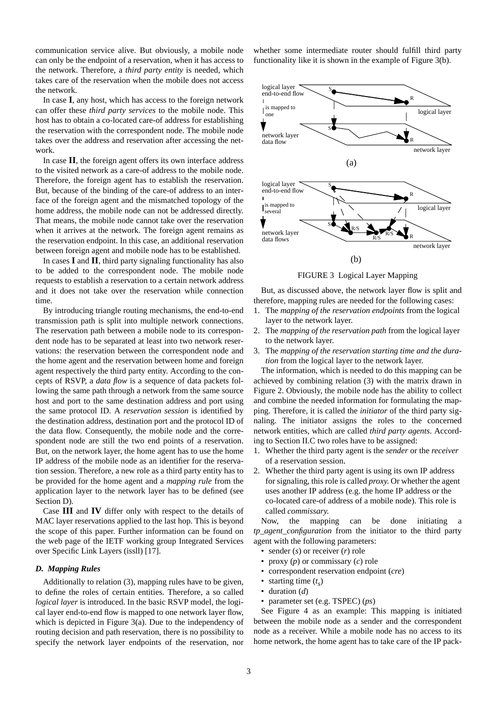<span id="page-2-0"></span>communication service alive. But obviously, a mobile node can only be the endpoint of a reservation, when it has access to the network. Therefore, a *third party entity* is needed, which takes care of the reservation when the mobile does not access the network.

In case **I**, any host, which has access to the foreign network can offer these *third party services* to the mobile node. This host has to obtain a co-located care-of address for establishing the reservation with the correspondent node. The mobile node takes over the address and reservation after accessing the network.

In case **II**, the foreign agent offers its own interface address to the visited network as a care-of address to the mobile node. Therefore, the foreign agent has to establish the reservation. But, because of the binding of the care-of address to an interface of the foreign agent and the mismatched topology of the home address, the mobile node can not be addressed directly. That means, the mobile node cannot take over the reservation when it arrives at the network. The foreign agent remains as the reservation endpoint. In this case, an additional reservation between foreign agent and mobile node has to be established.

In cases **I** and **II**, third party signaling functionality has also to be added to the correspondent node. The mobile node requests to establish a reservation to a certain network address and it does not take over the reservation while connection time.

By introducing triangle routing mechanisms, the end-to-end transmission path is split into multiple network connections. The reservation path between a mobile node to its correspondent node has to be separated at least into two network reservations: the reservation between the correspondent node and the home agent and the reservation between home and foreign agent respectively the third party entity. According to the concepts of RSVP, a *data flow* is a sequence of data packets following the same path through a network from the same source host and port to the same destination address and port using the same protocol ID. A *reservation session* is identified by the destination address, destination port and the protocol ID of the data flow. Consequently, the mobile node and the correspondent node are still the two end points of a reservation. But, on the network layer, the home agent has to use the home IP address of the mobile node as an identifier for the reservation session. Therefore, a new role as a third party entity has to be provided for the home agent and a *mapping rule* from the application layer to the network layer has to be defined (see Section D).

Case **III** and **IV** differ only with respect to the details of MAC layer reservations applied to the last hop. This is beyond the scope of this paper. Further information can be found on the web page of the IETF working group Integrated Services over Specific Link Layers (issll) [17].

#### *D. Mapping Rules*

Additionally to relation [\(3\),](#page-1-0) mapping rules have to be given, to define the roles of certain entities. Therefore, a so called *logical layer* is introduced. In the basic RSVP model, the logical layer end-to-end flow is mapped to one network layer flow, which is depicted in Figure 3(a). Due to the independency of routing decision and path reservation, there is no possibility to specify the network layer endpoints of the reservation, nor whether some intermediate router should fulfill third party functionality like it is shown in the example of Figure 3(b).



FIGURE 3 Logical Layer Mapping

But, as discussed above, the network layer flow is split and therefore, mapping rules are needed for the following cases:

- 1. The *mapping of the reservation endpoints* from the logical layer to the network layer.
- 2. The *mapping of the reservation path* from the logical layer to the network layer.
- 3. The *mapping of the reservation starting time and the duration* from the logical layer to the network layer.

The information, which is needed to do this mapping can be achieved by combining relatio[n \(3\)](#page-1-0) with the matrix drawn in [Figure 2](#page-1-0). Obviously, the mobile node has the ability to collect and combine the needed information for formulating the mapping. Therefore, it is called the *initiator* of the third party signaling. The initiator assigns the roles to the concerned network entities, which are called *third party agents*. According to [Section II.C tw](#page-1-0)o roles have to be assigned:

- 1. Whether the third party agent is the *sender* or the *receiver* of a reservation session.
- 2. Whether the third party agent is using its own IP address for signaling, this role is called *proxy*. Or whether the agent uses another IP address (e.g. the home IP address or the co-located care-of address of a mobile node). This role is called *commissary*.

Now, the mapping can be done initiating a *tp\_agent\_configuration* from the initiator to the third party agent with the following parameters:

- sender (*s*) or receiver (*r*) role
- proxy (*p*) or commissary (*c*) role
- correspondent reservation endpoint (*cre*)
- starting time  $(t<sub>s</sub>)$
- duration (*d*)
- parameter set (e.g. TSPEC) (*ps*)

See [Figure 4](#page-3-0) as an example: This mapping is initiated between the mobile node as a sender and the correspondent node as a receiver. While a mobile node has no access to its home network, the home agent has to take care of the IP pack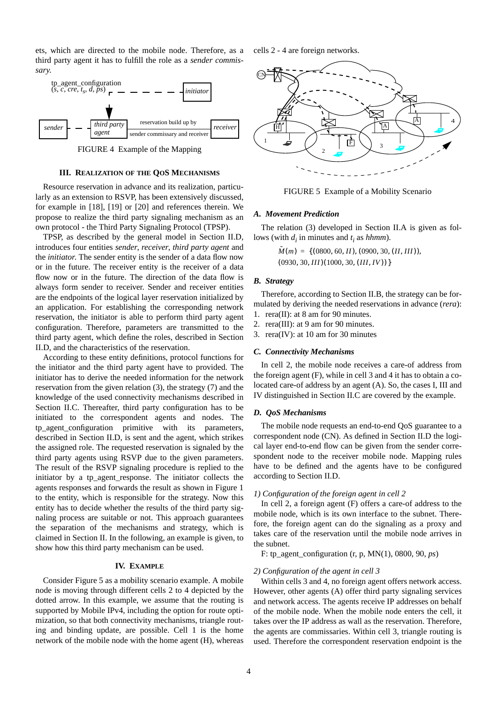<span id="page-3-0"></span>ets, which are directed to the mobile node. Therefore, as a third party agent it has to fulfill the role as a *sender commissary*.



FIGURE 4 Example of the Mapping

#### **III. REALIZATION OF THE QOS MECHANISMS**

Resource reservation in advance and its realization, particularly as an extension to RSVP, has been extensively discussed, for example in [18], [19] or [20] and references therein. We propose to realize the third party signaling mechanism as an own protocol - the Third Party Signaling Protocol (TPSP).

TPSP, as described by the general model in [Section II.D](#page-2-0), introduces four entities *sender*, *receiver*, *third party agent* and the *initiator*. The sender entity is the sender of a data flow now or in the future. The receiver entity is the receiver of a data flow now or in the future. The direction of the data flow is always form sender to receiver. Sender and receiver entities are the endpoints of the logical layer reservation initialized by an application. For establishing the corresponding network reservation, the initiator is able to perform third party agent configuration. Therefore, parameters are transmitted to the third party agent, which define the roles, described in [Section](#page-2-0) [II.D,](#page-2-0) and the characteristics of the reservation.

According to these entity definitions, protocol functions for the initiator and the third party agent have to provided. The initiator has to derive the needed information for the network reservation from the given relation [\(3\)](#page-1-0), the strategy [\(7\)](#page-1-0) and the knowledge of the used connectivity mechanisms described in [Section II.C.](#page-1-0) Thereafter, third party configuration has to be initiated to the correspondent agents and nodes. The tp\_agent\_configuration primitive with its parameters, described in [Section II.D](#page-2-0), is sent and the agent, which strikes the assigned role. The requested reservation is signaled by the third party agents using RSVP due to the given parameters. The result of the RSVP signaling procedure is replied to the initiator by a tp agent response. The initiator collects the agents responses and forwards the result as shown in [Figure 1](#page-1-0) to the entity, which is responsible for the strategy. Now this entity has to decide whether the results of the third party signaling process are suitable or not. This approach guarantees the separation of the mechanisms and strategy, which is claimed in [Section II](#page-1-0). In the following, an example is given, to show how this third party mechanism can be used.

#### **IV. EXAMPLE**

Consider Figure 5 as a mobility scenario example. A mobile node is moving through different cells 2 to 4 depicted by the dotted arrow. In this example, we assume that the routing is supported by Mobile IPv4, including the option for route optimization, so that both connectivity mechanisms, triangle routing and binding update, are possible. Cell 1 is the home network of the mobile node with the home agent (H), whereas cells 2 - 4 are foreign networks.



FIGURE 5 Example of a Mobility Scenario

## *A. Movement Prediction*

The relation [\(3\)](#page-1-0) developed in [Section II.A](#page-1-0) is given as follows (with  $d_i$  in minutes and  $t_i$  as  $h hmm$ ).

> $\tilde{M}(m) = \{(0800, 60, II), (0900, 30, (II, III)),\}$  $(0930, 30, III) (1000, 30, (III, IV))$

#### *B. Strategy*

Therefore, according to Section II.B, the strategy can be formulated by deriving the needed reservations in advance (*rera*):

- 1. rera(II): at 8 am for 90 minutes.
- 2. rera(III): at 9 am for 90 minutes.

3. rera(IV): at 10 am for 30 minutes

#### *C. Connectivity Mechanisms*

In cell 2, the mobile node receives a care-of address from the foreign agent (F), while in cell 3 and 4 it has to obtain a colocated care-of address by an agent (A). So, the cases I, III and IV distinguished in [Section II.C a](#page-1-0)re covered by the example.

#### *D. QoS Mechanisms*

The mobile node requests an end-to-end QoS guarantee to a correspondent node (CN). As defined in [Section II.D](#page-2-0) the logical layer end-to-end flow can be given from the sender correspondent node to the receiver mobile node. Mapping rules have to be defined and the agents have to be configured according to [Section II.D.](#page-2-0)

#### *1) Configuration of the foreign agent in cell 2*

In cell 2, a foreign agent (F) offers a care-of address to the mobile node, which is its own interface to the subnet. Therefore, the foreign agent can do the signaling as a proxy and takes care of the reservation until the mobile node arrives in the subnet.

F: tp\_agent\_configuration (r, p, MN(1), 0800, 90, *ps*)

#### *2) Configuration of the agent in cell 3*

Within cells 3 and 4, no foreign agent offers network access. However, other agents (A) offer third party signaling services and network access. The agents receive IP addresses on behalf of the mobile node. When the mobile node enters the cell, it takes over the IP address as wall as the reservation. Therefore, the agents are commissaries. Within cell 3, triangle routing is used. Therefore the correspondent reservation endpoint is the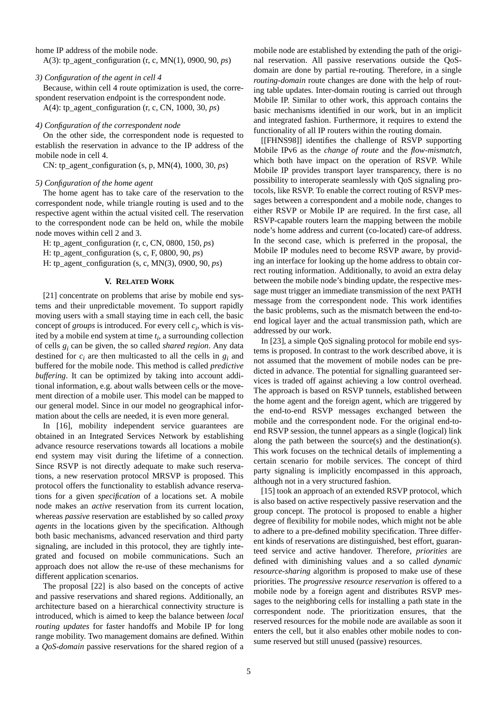<span id="page-4-0"></span>home IP address of the mobile node.

A(3): tp\_agent\_configuration (r, c, MN(1), 0900, 90, *ps*)

#### *3) Configuration of the agent in cell 4*

Because, within cell 4 route optimization is used, the correspondent reservation endpoint is the correspondent node.

A(4): tp\_agent\_configuration (r, c, CN, 1000, 30, *ps*)

## *4) Configuration of the correspondent node*

On the other side, the correspondent node is requested to establish the reservation in advance to the IP address of the mobile node in cell 4.

CN: tp\_agent\_configuration (s, p, MN(4), 1000, 30, *ps*)

#### *5) Configuration of the home agent*

The home agent has to take care of the reservation to the correspondent node, while triangle routing is used and to the respective agent within the actual visited cell. The reservation to the correspondent node can be held on, while the mobile node moves within cell 2 and 3.

H: tp\_agent\_configuration (r, c, CN, 0800, 150, *ps*)

H: tp\_agent\_configuration (s, c, F, 0800, 90, *ps*)

H: tp\_agent\_configuration (s, c, MN(3), 0900, 90, *ps*)

## **V. RELATED WORK**

[21] concentrate on problems that arise by mobile end systems and their unpredictable movement. To support rapidly moving users with a small staying time in each cell, the basic concept of *groups* is introduced. For every cell  $c_i$ , which is visited by a mobile end system at time *ti* , a surrounding collection of cells *gi* can be given, the so called *shared region*. Any data destined for *ci* are then multicasted to all the cells in *gi* and buffered for the mobile node. This method is called *predictive buffering*. It can be optimized by taking into account additional information, e.g. about walls between cells or the movement direction of a mobile user. This model can be mapped to our general model. Since in our model no geographical information about the cells are needed, it is even more general.

In [16], mobility independent service guarantees are obtained in an Integrated Services Network by establishing advance resource reservations towards all locations a mobile end system may visit during the lifetime of a connection. Since RSVP is not directly adequate to make such reservations, a new reservation protocol MRSVP is proposed. This protocol offers the functionality to establish advance reservations for a given *specification* of a locations set. A mobile node makes an *active* reservation from its current location, whereas *passive* reservation are established by so called *proxy agents* in the locations given by the specification. Although both basic mechanisms, advanced reservation and third party signaling, are included in this protocol, they are tightly integrated and focused on mobile communications. Such an approach does not allow the re-use of these mechanisms for different application scenarios.

The proposal [22] is also based on the concepts of active and passive reservations and shared regions. Additionally, an architecture based on a hierarchical connectivity structure is introduced, which is aimed to keep the balance between *local routing updates* for faster handoffs and Mobile IP for long range mobility. Two management domains are defined. Within a *QoS-domain* passive reservations for the shared region of a

mobile node are established by extending the path of the original reservation. All passive reservations outside the QoSdomain are done by partial re-routing. Therefore, in a single *routing-domain* route changes are done with the help of routing table updates. Inter-domain routing is carried out through Mobile IP. Similar to other work, this approach contains the basic mechanisms identified in our work, but in an implicit and integrated fashion. Furthermore, it requires to extend the functionality of all IP routers within the routing domain.

[[FHNS98]] identifies the challenge of RSVP supporting Mobile IPv6 as the *change of route* and the *flow-mismatch*, which both have impact on the operation of RSVP. While Mobile IP provides transport layer transparency, there is no possibility to interoperate seamlessly with QoS signaling protocols, like RSVP. To enable the correct routing of RSVP messages between a correspondent and a mobile node, changes to either RSVP or Mobile IP are required. In the first case, all RSVP-capable routers learn the mapping between the mobile node's home address and current (co-located) care-of address. In the second case, which is preferred in the proposal, the Mobile IP modules need to become RSVP aware, by providing an interface for looking up the home address to obtain correct routing information. Additionally, to avoid an extra delay between the mobile node's binding update, the respective message must trigger an immediate transmission of the next PATH message from the correspondent node. This work identifies the basic problems, such as the mismatch between the end-toend logical layer and the actual transmission path, which are addressed by our work.

In [23], a simple QoS signaling protocol for mobile end systems is proposed. In contrast to the work described above, it is not assumed that the movement of mobile nodes can be predicted in advance. The potential for signalling guaranteed services is traded off against achieving a low control overhead. The approach is based on RSVP tunnels, established between the home agent and the foreign agent, which are triggered by the end-to-end RSVP messages exchanged between the mobile and the correspondent node. For the original end-toend RSVP session, the tunnel appears as a single (logical) link along the path between the source(s) and the destination(s). This work focuses on the technical details of implementing a certain scenario for mobile services. The concept of third party signaling is implicitly encompassed in this approach, although not in a very structured fashion.

[15] took an approach of an extended RSVP protocol, which is also based on active respectively passive reservation and the group concept. The protocol is proposed to enable a higher degree of flexibility for mobile nodes, which might not be able to adhere to a pre-defined mobility specification. Three different kinds of reservations are distinguished, best effort, guaranteed service and active handover. Therefore, *priorities* are defined with diminishing values and a so called *dynamic resource-sharing* algorithm is proposed to make use of these priorities. The *progressive resource reservation* is offered to a mobile node by a foreign agent and distributes RSVP messages to the neighboring cells for installing a path state in the correspondent node. The prioritization ensures, that the reserved resources for the mobile node are available as soon it enters the cell, but it also enables other mobile nodes to consume reserved but still unused (passive) resources.